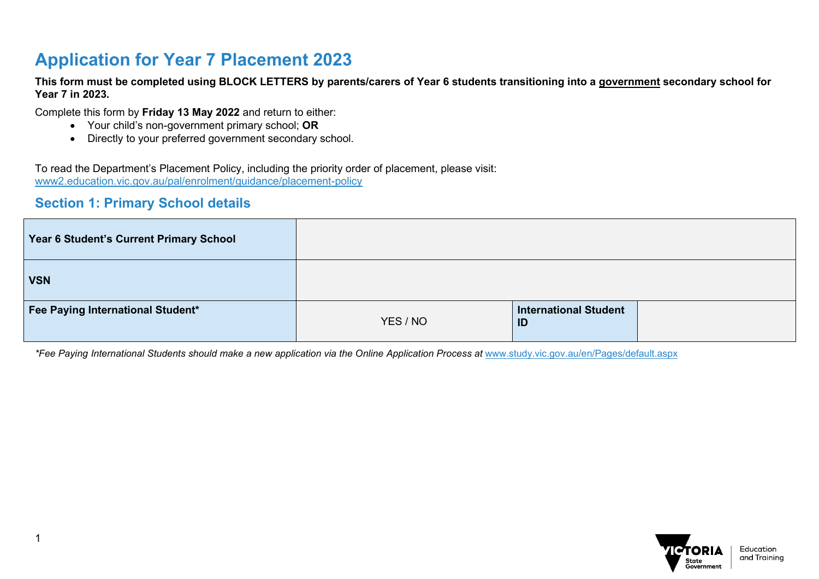### **Application for Year 7 Placement 2023**

**This form must be completed using BLOCK LETTERS by parents/carers of Year 6 students transitioning into a government secondary school for Year 7 in 2023.** 

Complete this form by **Friday 13 May 2022** and return to either:

- Your child's non-government primary school; **OR**
- Directly to your preferred government secondary school.

To read the Department's Placement Policy, including the priority order of placement, please visit: [www2.education.vic.gov.au/pal/enrolment/guidance/placement-policy](https://www2.education.vic.gov.au/pal/enrolment/guidance/placement-policy)

#### **Section 1: Primary School details**

| Year 6 Student's Current Primary School |          |                             |  |
|-----------------------------------------|----------|-----------------------------|--|
| <b>VSN</b>                              |          |                             |  |
| Fee Paying International Student*       | YES / NO | International Student<br>ID |  |

*\*Fee Paying International Students should make a new application via the Online Application Process at* [www.study.vic.gov.au/en/Pages/default.aspx](https://study.vic.gov.au/en/Pages/default.aspx)

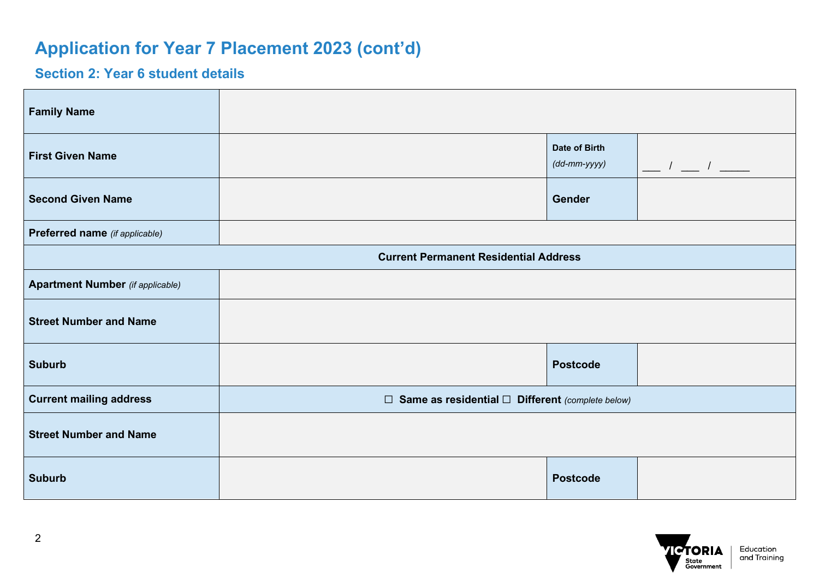### **Section 2: Year 6 student details**

| <b>Family Name</b>                      |                                                              |                                               |                                           |
|-----------------------------------------|--------------------------------------------------------------|-----------------------------------------------|-------------------------------------------|
| <b>First Given Name</b>                 |                                                              | Date of Birth<br>$(dd\text{-}mm\text{-}yyyy)$ | $\frac{1}{\sqrt{2}}$ $\frac{1}{\sqrt{2}}$ |
| <b>Second Given Name</b>                |                                                              | <b>Gender</b>                                 |                                           |
| Preferred name (if applicable)          |                                                              |                                               |                                           |
|                                         | <b>Current Permanent Residential Address</b>                 |                                               |                                           |
| <b>Apartment Number</b> (if applicable) |                                                              |                                               |                                           |
| <b>Street Number and Name</b>           |                                                              |                                               |                                           |
| <b>Suburb</b>                           |                                                              | <b>Postcode</b>                               |                                           |
| <b>Current mailing address</b>          | $\Box$ Same as residential $\Box$ Different (complete below) |                                               |                                           |
| <b>Street Number and Name</b>           |                                                              |                                               |                                           |
| <b>Suburb</b>                           |                                                              | <b>Postcode</b>                               |                                           |

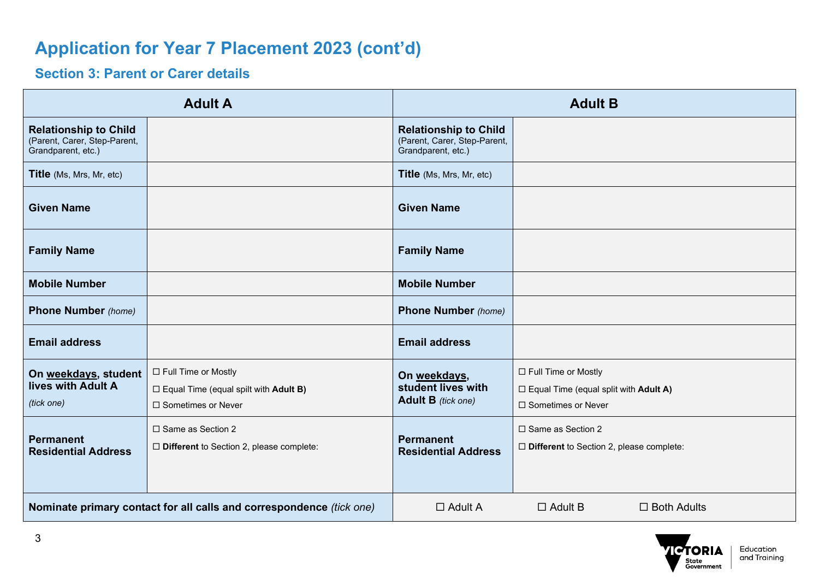### **Section 3: Parent or Carer details**

|                                                                                    | <b>Adult A</b>                                                                                       |                                                                                    | <b>Adult B</b>                                                                                |
|------------------------------------------------------------------------------------|------------------------------------------------------------------------------------------------------|------------------------------------------------------------------------------------|-----------------------------------------------------------------------------------------------|
| <b>Relationship to Child</b><br>(Parent, Carer, Step-Parent,<br>Grandparent, etc.) |                                                                                                      | <b>Relationship to Child</b><br>(Parent, Carer, Step-Parent,<br>Grandparent, etc.) |                                                                                               |
| <b>Title</b> (Ms, Mrs, Mr, etc)                                                    |                                                                                                      | <b>Title</b> (Ms, Mrs, Mr, etc)                                                    |                                                                                               |
| <b>Given Name</b>                                                                  |                                                                                                      | <b>Given Name</b>                                                                  |                                                                                               |
| <b>Family Name</b>                                                                 |                                                                                                      | <b>Family Name</b>                                                                 |                                                                                               |
| <b>Mobile Number</b>                                                               |                                                                                                      | <b>Mobile Number</b>                                                               |                                                                                               |
| <b>Phone Number</b> (home)                                                         |                                                                                                      | <b>Phone Number</b> (home)                                                         |                                                                                               |
| <b>Email address</b>                                                               |                                                                                                      | <b>Email address</b>                                                               |                                                                                               |
| On weekdays, student<br>lives with Adult A<br>(tick one)                           | □ Full Time or Mostly<br>$\Box$ Equal Time (equal spilt with <b>Adult B)</b><br>□ Sometimes or Never | On weekdays,<br>student lives with<br><b>Adult B</b> (tick one)                    | □ Full Time or Mostly<br>$\Box$ Equal Time (equal split with Adult A)<br>□ Sometimes or Never |
| <b>Permanent</b><br><b>Residential Address</b>                                     | □ Same as Section 2<br>$\Box$ Different to Section 2, please complete:                               | <b>Permanent</b><br><b>Residential Address</b>                                     | □ Same as Section 2<br>$\Box$ Different to Section 2, please complete:                        |
| Nominate primary contact for all calls and correspondence (tick one)               |                                                                                                      | $\Box$ Adult A                                                                     | $\Box$ Adult B<br>$\Box$ Both Adults                                                          |

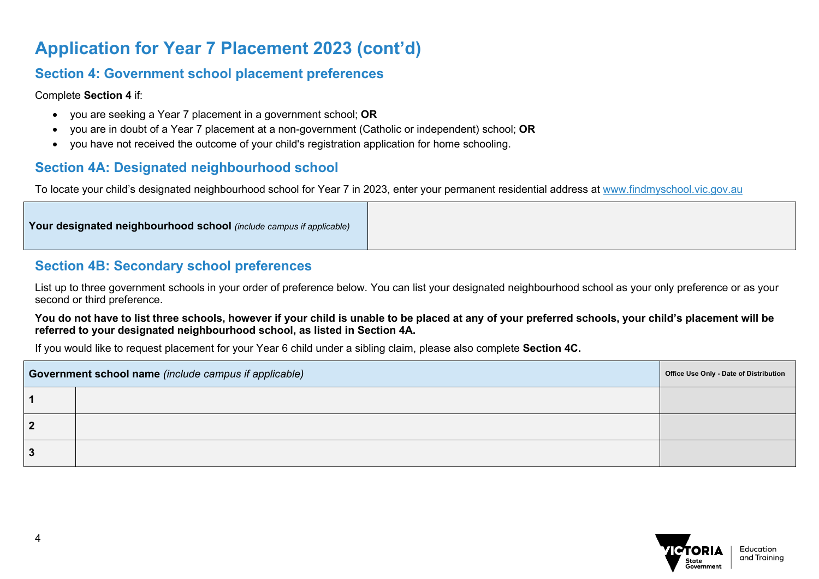#### **Section 4: Government school placement preferences**

Complete **Section 4** if:

- you are seeking a Year 7 placement in a government school; **OR**
- you are in doubt of a Year 7 placement at a non-government (Catholic or independent) school; **OR**
- you have not received the outcome of your child's registration application for home schooling.

#### **Section 4A: Designated neighbourhood school**

To locate your child's designated neighbourhood school for Year 7 in 2023, enter your permanent residential address at [www.findmyschool.vic.gov.au](http://www.findmyschool.vic.gov.au/)

### **Section 4B: Secondary school preferences**

List up to three government schools in your order of preference below. You can list your designated neighbourhood school as your only preference or as your second or third preference.

#### **You do not have to list three schools, however if your child is unable to be placed at any of your preferred schools, your child's placement will be referred to your designated neighbourhood school, as listed in Section 4A.**

If you would like to request placement for your Year 6 child under a sibling claim, please also complete **Section 4C.**

| Government school name (include campus if applicable) | Office Use Only - Date of Distribution |  |
|-------------------------------------------------------|----------------------------------------|--|
|                                                       |                                        |  |
| າ                                                     |                                        |  |
| 3                                                     |                                        |  |

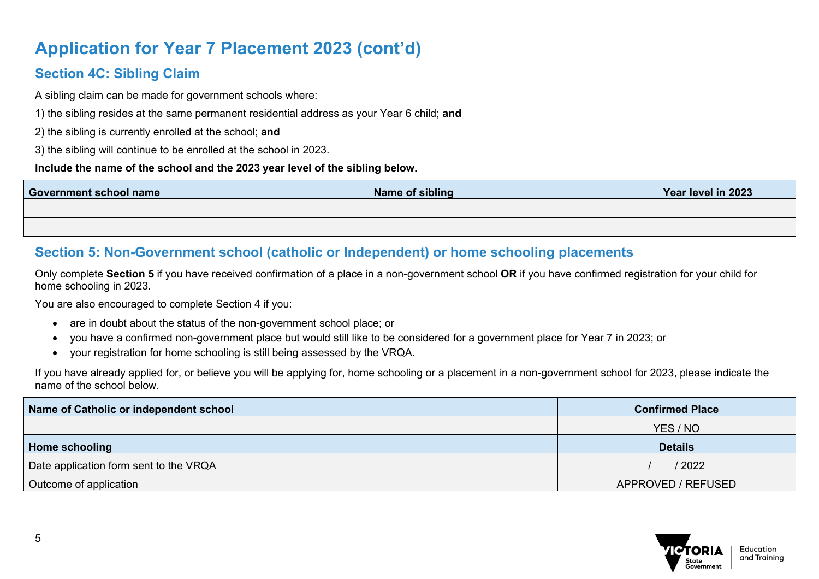### **Section 4C: Sibling Claim**

A sibling claim can be made for government schools where:

1) the sibling resides at the same permanent residential address as your Year 6 child; **and**

2) the sibling is currently enrolled at the school; **and**

3) the sibling will continue to be enrolled at the school in 2023.

#### **Include the name of the school and the 2023 year level of the sibling below.**

| <b>Government school name</b> | Name of sibling | Year level in 2023 |
|-------------------------------|-----------------|--------------------|
|                               |                 |                    |
|                               |                 |                    |

### **Section 5: Non-Government school (catholic or Independent) or home schooling placements**

Only complete **Section 5** if you have received confirmation of a place in a non-government school **OR** if you have confirmed registration for your child for home schooling in 2023.

You are also encouraged to complete Section 4 if you:

- are in doubt about the status of the non-government school place; or
- you have a confirmed non-government place but would still like to be considered for a government place for Year 7 in 2023; or
- your registration for home schooling is still being assessed by the VRQA.

If you have already applied for, or believe you will be applying for, home schooling or a placement in a non-government school for 2023, please indicate the name of the school below.

| Name of Catholic or independent school | <b>Confirmed Place</b> |
|----------------------------------------|------------------------|
|                                        | YES / NO               |
| Home schooling                         | <b>Details</b>         |
| Date application form sent to the VRQA | / 2022                 |
| Outcome of application                 | APPROVED / REFUSED     |